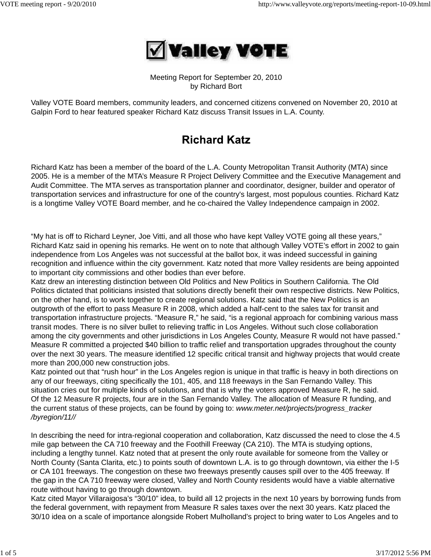

Meeting Report for September 20, 2010 by Richard Bort

Valley VOTE Board members, community leaders, and concerned citizens convened on November 20, 2010 at Galpin Ford to hear featured speaker Richard Katz discuss Transit Issues in L.A. County.

# **Richard Katz**

Richard Katz has been a member of the board of the L.A. County Metropolitan Transit Authority (MTA) since 2005. He is a member of the MTA's Measure R Project Delivery Committee and the Executive Management and Audit Committee. The MTA serves as transportation planner and coordinator, designer, builder and operator of transportation services and infrastructure for one of the country's largest, most populous counties. Richard Katz is a longtime Valley VOTE Board member, and he co-chaired the Valley Independence campaign in 2002.

"My hat is off to Richard Leyner, Joe Vitti, and all those who have kept Valley VOTE going all these years," Richard Katz said in opening his remarks. He went on to note that although Valley VOTE's effort in 2002 to gain independence from Los Angeles was not successful at the ballot box, it was indeed successful in gaining recognition and influence within the city government. Katz noted that more Valley residents are being appointed to important city commissions and other bodies than ever before.

Katz drew an interesting distinction between Old Politics and New Politics in Southern California. The Old Politics dictated that politicians insisted that solutions directly benefit their own respective districts. New Politics, on the other hand, is to work together to create regional solutions. Katz said that the New Politics is an outgrowth of the effort to pass Measure R in 2008, which added a half-cent to the sales tax for transit and transportation infrastructure projects. "Measure R," he said, "is a regional approach for combining various mass transit modes. There is no silver bullet to relieving traffic in Los Angeles. Without such close collaboration among the city governments and other jurisdictions in Los Angeles County, Measure R would not have passed." Measure R committed a projected \$40 billion to traffic relief and transportation upgrades throughout the county over the next 30 years. The measure identified 12 specific critical transit and highway projects that would create more than 200,000 new construction jobs.

Katz pointed out that "rush hour" in the Los Angeles region is unique in that traffic is heavy in both directions on any of our freeways, citing specifically the 101, 405, and 118 freeways in the San Fernando Valley. This situation cries out for multiple kinds of solutions, and that is why the voters approved Measure R, he said. Of the 12 Measure R projects, four are in the San Fernando Valley. The allocation of Measure R funding, and the current status of these projects, can be found by going to: *www.meter.net/projects/progress\_tracker /byregion/11//*

In describing the need for intra-regional cooperation and collaboration, Katz discussed the need to close the 4.5 mile gap between the CA 710 freeway and the Foothill Freeway (CA 210). The MTA is studying options, including a lengthy tunnel. Katz noted that at present the only route available for someone from the Valley or North County (Santa Clarita, etc.) to points south of downtown L.A. is to go through downtown, via either the I-5 or CA 101 freeways. The congestion on these two freeways presently causes spill over to the 405 freeway. If the gap in the CA 710 freeway were closed, Valley and North County residents would have a viable alternative route without having to go through downtown.

Katz cited Mayor Villaraigosa's "30/10" idea, to build all 12 projects in the next 10 years by borrowing funds from the federal government, with repayment from Measure R sales taxes over the next 30 years. Katz placed the 30/10 idea on a scale of importance alongside Robert Mulholland's project to bring water to Los Angeles and to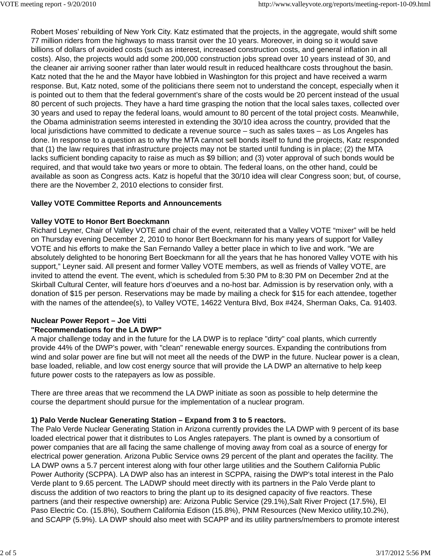Robert Moses' rebuilding of New York City. Katz estimated that the projects, in the aggregate, would shift some 77 million riders from the highways to mass transit over the 10 years. Moreover, in doing so it would save billions of dollars of avoided costs (such as interest, increased construction costs, and general inflation in all costs). Also, the projects would add some 200,000 construction jobs spread over 10 years instead of 30, and the cleaner air arriving sooner rather than later would result in reduced healthcare costs throughout the basin. Katz noted that the he and the Mayor have lobbied in Washington for this project and have received a warm response. But, Katz noted, some of the politicians there seem not to understand the concept, especially when it is pointed out to them that the federal government's share of the costs would be 20 percent instead of the usual 80 percent of such projects. They have a hard time grasping the notion that the local sales taxes, collected over 30 years and used to repay the federal loans, would amount to 80 percent of the total project costs. Meanwhile, the Obama administration seems interested in extending the 30/10 idea across the country, provided that the local jurisdictions have committed to dedicate a revenue source – such as sales taxes – as Los Angeles has done. In response to a question as to why the MTA cannot sell bonds itself to fund the projects, Katz responded that (1) the law requires that infrastructure projects may not be started until funding is in place; (2) the MTA lacks sufficient bonding capacity to raise as much as \$9 billion; and (3) voter approval of such bonds would be required, and that would take two years or more to obtain. The federal loans, on the other hand, could be available as soon as Congress acts. Katz is hopeful that the 30/10 idea will clear Congress soon; but, of course, there are the November 2, 2010 elections to consider first.

## **Valley VOTE Committee Reports and Announcements**

#### **Valley VOTE to Honor Bert Boeckmann**

Richard Leyner, Chair of Valley VOTE and chair of the event, reiterated that a Valley VOTE "mixer" will be held on Thursday evening December 2, 2010 to honor Bert Boeckmann for his many years of support for Valley VOTE and his efforts to make the San Fernando Valley a better place in which to live and work. "We are absolutely delighted to be honoring Bert Boeckmann for all the years that he has honored Valley VOTE with his support," Leyner said. All present and former Valley VOTE members, as well as friends of Valley VOTE, are invited to attend the event. The event, which is scheduled from 5:30 PM to 8:30 PM on December 2nd at the Skirball Cultural Center, will feature hors d'oeurves and a no-host bar. Admission is by reservation only, with a donation of \$15 per person. Reservations may be made by mailing a check for \$15 for each attendee, together with the names of the attendee(s), to Valley VOTE, 14622 Ventura Blvd, Box #424, Sherman Oaks, Ca. 91403.

#### **Nuclear Power Report – Joe Vitti "Recommendations for the LA DWP"**

A major challenge today and in the future for the LA DWP is to replace "dirty" coal plants, which currently provide 44% of the DWP's power, with "clean" renewable energy sources. Expanding the contributions from wind and solar power are fine but will not meet all the needs of the DWP in the future. Nuclear power is a clean, base loaded, reliable, and low cost energy source that will provide the LA DWP an alternative to help keep future power costs to the ratepayers as low as possible.

There are three areas that we recommend the LA DWP initiate as soon as possible to help determine the course the department should pursue for the implementation of a nuclear program.

# **1) Palo Verde Nuclear Generating Station – Expand from 3 to 5 reactors.**

The Palo Verde Nuclear Generating Station in Arizona currently provides the LA DWP with 9 percent of its base loaded electrical power that it distributes to Los Angles ratepayers. The plant is owned by a consortium of power companies that are all facing the same challenge of moving away from coal as a source of energy for electrical power generation. Arizona Public Service owns 29 percent of the plant and operates the facility. The LA DWP owns a 5.7 percent interest along with four other large utilities and the Southern California Public Power Authority (SCPPA). LA DWP also has an interest in SCPPA, raising the DWP's total interest in the Palo Verde plant to 9.65 percent. The LADWP should meet directly with its partners in the Palo Verde plant to discuss the addition of two reactors to bring the plant up to its designed capacity of five reactors. These partners (and their respective ownership) are: Arizona Public Service (29.1%),Salt River Project (17.5%), El Paso Electric Co. (15.8%), Southern California Edison (15.8%), PNM Resources (New Mexico utility,10.2%), and SCAPP (5.9%). LA DWP should also meet with SCAPP and its utility partners/members to promote interest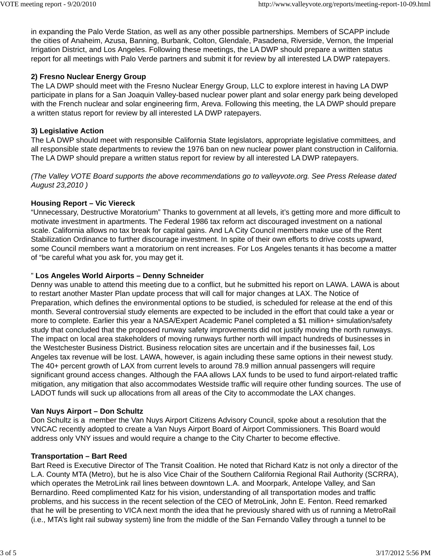in expanding the Palo Verde Station, as well as any other possible partnerships. Members of SCAPP include the cities of Anaheim, Azusa, Banning, Burbank, Colton, Glendale, Pasadena, Riverside, Vernon, the Imperial Irrigation District, and Los Angeles. Following these meetings, the LA DWP should prepare a written status report for all meetings with Palo Verde partners and submit it for review by all interested LA DWP ratepayers.

## **2) Fresno Nuclear Energy Group**

The LA DWP should meet with the Fresno Nuclear Energy Group, LLC to explore interest in having LA DWP participate in plans for a San Joaquin Valley-based nuclear power plant and solar energy park being developed with the French nuclear and solar engineering firm, Areva. Following this meeting, the LA DWP should prepare a written status report for review by all interested LA DWP ratepayers.

## **3) Legislative Action**

The LA DWP should meet with responsible California State legislators, appropriate legislative committees, and all responsible state departments to review the 1976 ban on new nuclear power plant construction in California. The LA DWP should prepare a written status report for review by all interested LA DWP ratepayers.

*(The Valley VOTE Board supports the above recommendations go to valleyvote.org. See Press Release dated August 23,2010 )*

## **Housing Report – Vic Viereck**

"Unnecessary, Destructive Moratorium" Thanks to government at all levels, it's getting more and more difficult to motivate investment in apartments. The Federal 1986 tax reform act discouraged investment on a national scale. California allows no tax break for capital gains. And LA City Council members make use of the Rent Stabilization Ordinance to further discourage investment. In spite of their own efforts to drive costs upward, some Council members want a moratorium on rent increases. For Los Angeles tenants it has become a matter of "be careful what you ask for, you may get it.

### " **Los Angeles World Airports – Denny Schneider**

Denny was unable to attend this meeting due to a conflict, but he submitted his report on LAWA. LAWA is about to restart another Master Plan update process that will call for major changes at LAX. The Notice of Preparation, which defines the environmental options to be studied, is scheduled for release at the end of this month. Several controversial study elements are expected to be included in the effort that could take a year or more to complete. Earlier this year a NASA/Expert Academic Panel completed a \$1 million+ simulation/safety study that concluded that the proposed runway safety improvements did not justify moving the north runways. The impact on local area stakeholders of moving runways further north will impact hundreds of businesses in the Westchester Business District. Business relocation sites are uncertain and if the businesses fail, Los Angeles tax revenue will be lost. LAWA, however, is again including these same options in their newest study. The 40+ percent growth of LAX from current levels to around 78.9 million annual passengers will require significant ground access changes. Although the FAA allows LAX funds to be used to fund airport-related traffic mitigation, any mitigation that also accommodates Westside traffic will require other funding sources. The use of LADOT funds will suck up allocations from all areas of the City to accommodate the LAX changes.

#### **Van Nuys Airport – Don Schultz**

Don Schultz is a member the Van Nuys Airport Citizens Advisory Council, spoke about a resolution that the VNCAC recently adopted to create a Van Nuys Airport Board of Airport Commissioners. This Board would address only VNY issues and would require a change to the City Charter to become effective.

#### **Transportation – Bart Reed**

Bart Reed is Executive Director of The Transit Coalition. He noted that Richard Katz is not only a director of the L.A. County MTA (Metro), but he is also Vice Chair of the Southern California Regional Rail Authority (SCRRA), which operates the MetroLink rail lines between downtown L.A. and Moorpark, Antelope Valley, and San Bernardino. Reed complimented Katz for his vision, understanding of all transportation modes and traffic problems, and his success in the recent selection of the CEO of MetroLink, John E. Fenton. Reed remarked that he will be presenting to VICA next month the idea that he previously shared with us of running a MetroRail (i.e., MTA's light rail subway system) line from the middle of the San Fernando Valley through a tunnel to be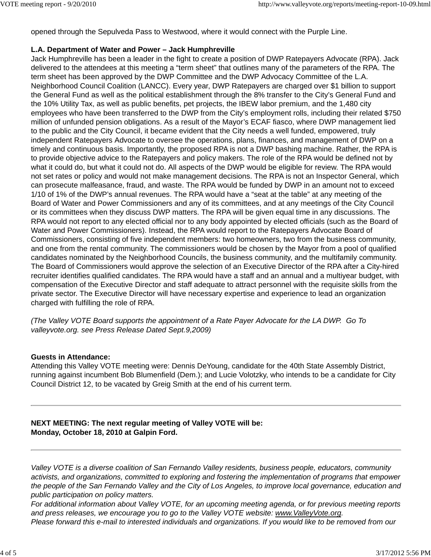opened through the Sepulveda Pass to Westwood, where it would connect with the Purple Line.

#### **L.A. Department of Water and Power – Jack Humphreville**

Jack Humphreville has been a leader in the fight to create a position of DWP Ratepayers Advocate (RPA). Jack delivered to the attendees at this meeting a "term sheet" that outlines many of the parameters of the RPA. The term sheet has been approved by the DWP Committee and the DWP Advocacy Committee of the L.A. Neighborhood Council Coalition (LANCC). Every year, DWP Ratepayers are charged over \$1 billion to support the General Fund as well as the political establishment through the 8% transfer to the City's General Fund and the 10% Utility Tax, as well as public benefits, pet projects, the IBEW labor premium, and the 1,480 city employees who have been transferred to the DWP from the City's employment rolls, including their related \$750 million of unfunded pension obligations. As a result of the Mayor's ECAF fiasco, where DWP management lied to the public and the City Council, it became evident that the City needs a well funded, empowered, truly independent Ratepayers Advocate to oversee the operations, plans, finances, and management of DWP on a timely and continuous basis. Importantly, the proposed RPA is not a DWP bashing machine. Rather, the RPA is to provide objective advice to the Ratepayers and policy makers. The role of the RPA would be defined not by what it could do, but what it could not do. All aspects of the DWP would be eligible for review. The RPA would not set rates or policy and would not make management decisions. The RPA is not an Inspector General, which can prosecute malfeasance, fraud, and waste. The RPA would be funded by DWP in an amount not to exceed 1/10 of 1% of the DWP's annual revenues. The RPA would have a "seat at the table" at any meeting of the Board of Water and Power Commissioners and any of its committees, and at any meetings of the City Council or its committees when they discuss DWP matters. The RPA will be given equal time in any discussions. The RPA would not report to any elected official nor to any body appointed by elected officials (such as the Board of Water and Power Commissioners). Instead, the RPA would report to the Ratepayers Advocate Board of Commissioners, consisting of five independent members: two homeowners, two from the business community, and one from the rental community. The commissioners would be chosen by the Mayor from a pool of qualified candidates nominated by the Neighborhood Councils, the business community, and the multifamily community. The Board of Commissioners would approve the selection of an Executive Director of the RPA after a City-hired recruiter identifies qualified candidates. The RPA would have a staff and an annual and a multiyear budget, with compensation of the Executive Director and staff adequate to attract personnel with the requisite skills from the private sector. The Executive Director will have necessary expertise and experience to lead an organization charged with fulfilling the role of RPA.

*(The Valley VOTE Board supports the appointment of a Rate Payer Advocate for the LA DWP. Go To valleyvote.org. see Press Release Dated Sept.9,2009)*

#### **Guests in Attendance:**

Attending this Valley VOTE meeting were: Dennis DeYoung, candidate for the 40th State Assembly District, running against incumbent Bob Blumenfield (Dem.); and Lucie Volotzky, who intends to be a candidate for City Council District 12, to be vacated by Greig Smith at the end of his current term.

## **NEXT MEETING: The next regular meeting of Valley VOTE will be: Monday, October 18, 2010 at Galpin Ford.**

*Valley VOTE is a diverse coalition of San Fernando Valley residents, business people, educators, community activists, and organizations, committed to exploring and fostering the implementation of programs that empower the people of the San Fernando Valley and the City of Los Angeles, to improve local governance, education and public participation on policy matters.*

*For additional information about Valley VOTE, for an upcoming meeting agenda, or for previous meeting reports and press releases, we encourage you to go to the Valley VOTE website: www.ValleyVote.org. Please forward this e-mail to interested individuals and organizations. If you would like to be removed from our*